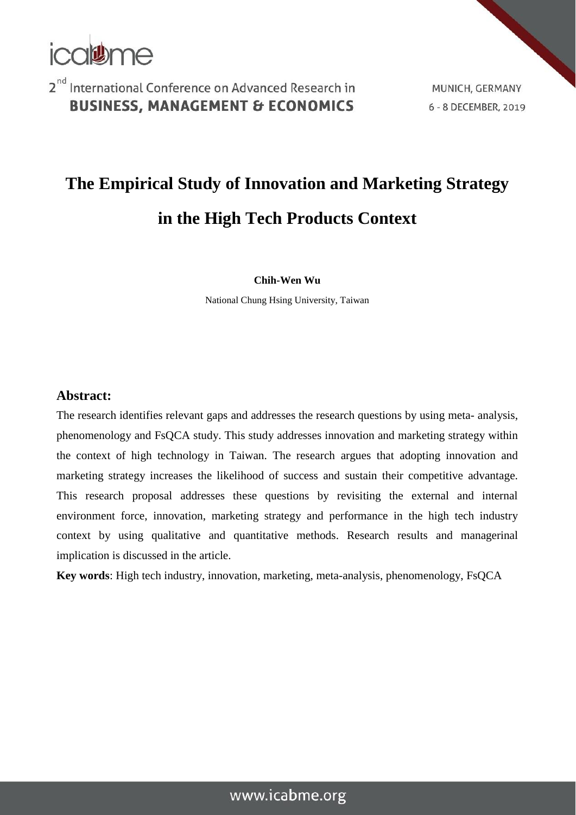

MUNICH, GERMANY 6 - 8 DECEMBER, 2019

## **The Empirical Study of Innovation and Marketing Strategy in the High Tech Products Context**

**Chih-Wen Wu**

National Chung Hsing University, Taiwan

#### **Abstract:**

The research identifies relevant gaps and addresses the research questions by using meta- analysis, phenomenology and FsQCA study. This study addresses innovation and marketing strategy within the context of high technology in Taiwan. The research argues that adopting innovation and marketing strategy increases the likelihood of success and sustain their competitive advantage. This research proposal addresses these questions by revisiting the external and internal environment force, innovation, marketing strategy and performance in the high tech industry context by using qualitative and quantitative methods. Research results and managerinal implication is discussed in the article.

**Key words**: High tech industry, innovation, marketing, meta-analysis, phenomenology, FsQCA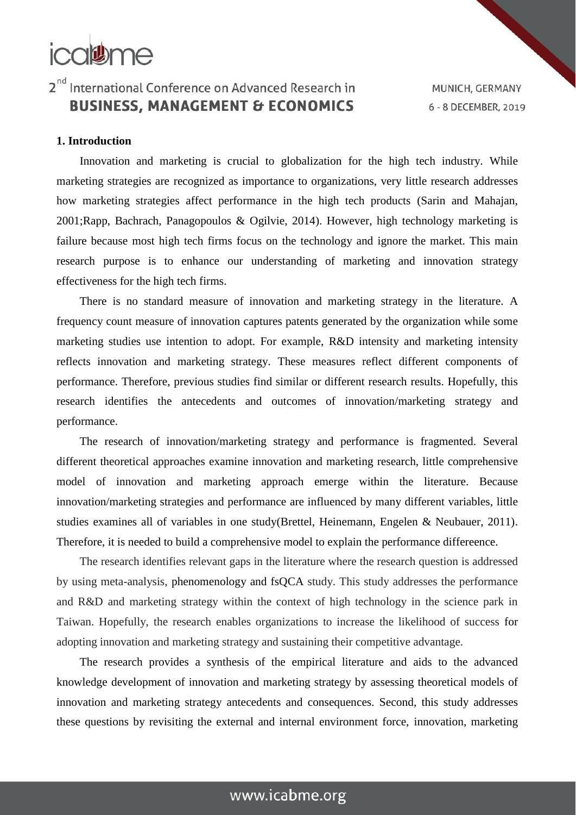## icalthe

## 2<sup>nd</sup> International Conference on Advanced Research in **BUSINESS, MANAGEMENT & ECONOMICS**

MUNICH, GERMANY 6 - 8 DECEMBER, 2019

#### **1. Introduction**

Innovation and marketing is crucial to globalization for the high tech industry. While marketing strategies are recognized as importance to organizations, very little research addresses how marketing strategies affect performance in the high tech products (Sarin and Mahajan, 2001;Rapp, Bachrach, Panagopoulos & Ogilvie, 2014). However, high technology marketing is failure because most high tech firms focus on the technology and ignore the market. This main research purpose is to enhance our understanding of marketing and innovation strategy effectiveness for the high tech firms.

There is no standard measure of innovation and marketing strategy in the literature. A frequency count measure of innovation captures patents generated by the organization while some marketing studies use intention to adopt. For example, R&D intensity and marketing intensity reflects innovation and marketing strategy. These measures reflect different components of performance. Therefore, previous studies find similar or different research results. Hopefully, this research identifies the antecedents and outcomes of innovation/marketing strategy and performance.

The research of innovation/marketing strategy and performance is fragmented. Several different theoretical approaches examine innovation and marketing research, little comprehensive model of innovation and marketing approach emerge within the literature. Because innovation/marketing strategies and performance are influenced by many different variables, little studies examines all of variables in one study(Brettel, Heinemann, Engelen & Neubauer, 2011). Therefore, it is needed to build a comprehensive model to explain the performance differeence.

The research identifies relevant gaps in the literature where the research question is addressed by using meta-analysis, phenomenology and fsQCA study. This study addresses the performance and R&D and marketing strategy within the context of high technology in the science park in Taiwan. Hopefully, the research enables organizations to increase the likelihood of success for adopting innovation and marketing strategy and sustaining their competitive advantage.

The research provides a synthesis of the empirical literature and aids to the advanced knowledge development of innovation and marketing strategy by assessing theoretical models of innovation and marketing strategy antecedents and consequences. Second, this study addresses these questions by revisiting the external and internal environment force, innovation, marketing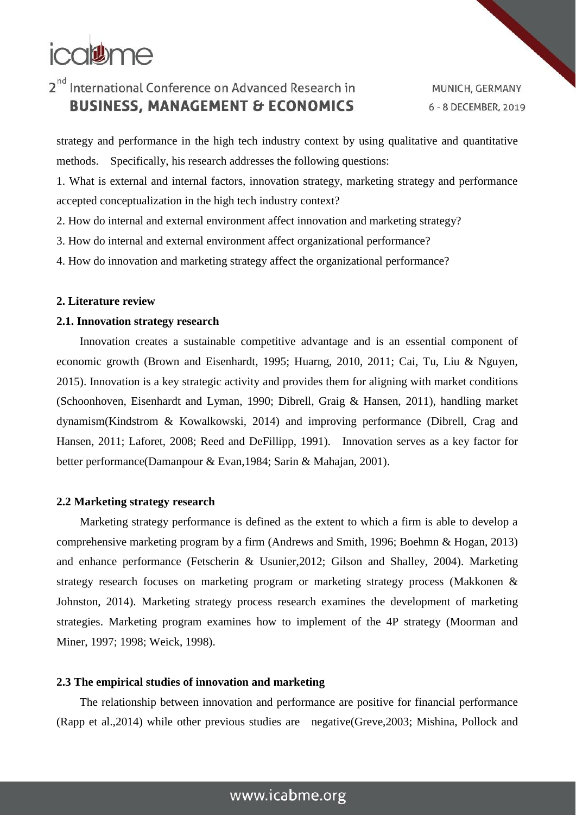# icalthe

## 2<sup>nd</sup> International Conference on Advanced Research in **BUSINESS, MANAGEMENT & ECONOMICS**

MUNICH, GERMANY 6 - 8 DECEMBER, 2019

strategy and performance in the high tech industry context by using qualitative and quantitative methods. Specifically, his research addresses the following questions:

1. What is external and internal factors, innovation strategy, marketing strategy and performance accepted conceptualization in the high tech industry context?

2. How do internal and external environment affect innovation and marketing strategy?

3. How do internal and external environment affect organizational performance?

4. How do innovation and marketing strategy affect the organizational performance?

#### **2. Literature review**

#### **2.1. Innovation strategy research**

Innovation creates a sustainable competitive advantage and is an essential component of economic growth (Brown and Eisenhardt, 1995; Huarng, 2010, 2011; Cai, Tu, Liu & Nguyen, 2015). Innovation is a key strategic activity and provides them for aligning with market conditions (Schoonhoven, Eisenhardt and Lyman, 1990; Dibrell, Graig & Hansen, 2011), handling market dynamism(Kindstrom & Kowalkowski, 2014) and improving performance (Dibrell, Crag and Hansen, 2011; Laforet, 2008; Reed and DeFillipp, 1991). Innovation serves as a key factor for better performance(Damanpour & Evan,1984; Sarin & Mahajan, 2001).

#### **2.2 Marketing strategy research**

Marketing strategy performance is defined as the extent to which a firm is able to develop a comprehensive marketing program by a firm (Andrews and Smith, 1996; Boehmn & Hogan, 2013) and enhance performance (Fetscherin & Usunier,2012; Gilson and Shalley, 2004). Marketing strategy research focuses on marketing program or marketing strategy process (Makkonen & Johnston, 2014). Marketing strategy process research examines the development of marketing strategies. Marketing program examines how to implement of the 4P strategy (Moorman and Miner, 1997; 1998; Weick, 1998).

#### **2.3 The empirical studies of innovation and marketing**

The relationship between innovation and performance are positive for financial performance (Rapp et al.,2014) while other previous studies are negative(Greve,2003; Mishina, Pollock and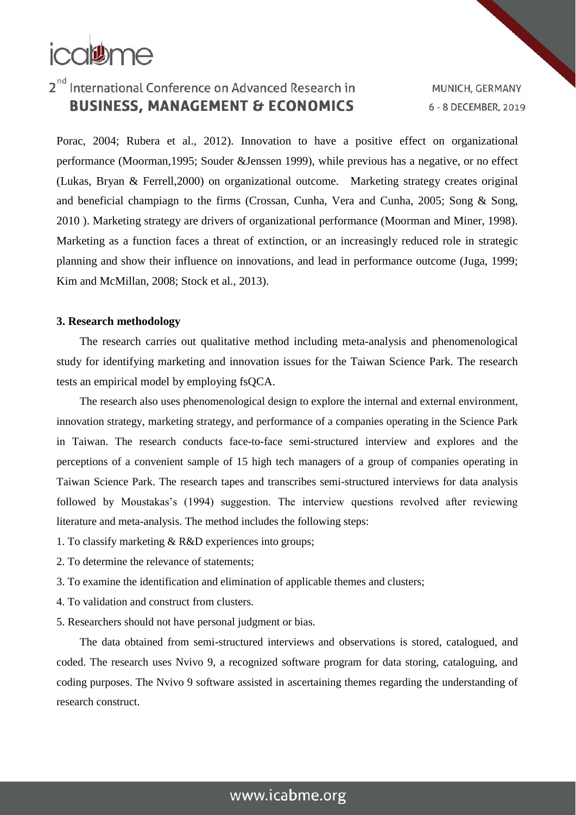

MUNICH, GERMANY 6 - 8 DECEMBER, 2019

Porac, 2004; Rubera et al., 2012). Innovation to have a positive effect on organizational performance (Moorman,1995; Souder &Jenssen 1999), while previous has a negative, or no effect (Lukas, Bryan & Ferrell,2000) on organizational outcome. Marketing strategy creates original and beneficial champiagn to the firms (Crossan, Cunha, Vera and Cunha, 2005; Song & Song, 2010 ). Marketing strategy are drivers of organizational performance (Moorman and Miner, 1998). Marketing as a function faces a threat of extinction, or an increasingly reduced role in strategic planning and show their influence on innovations, and lead in performance outcome (Juga, 1999; Kim and McMillan, 2008; Stock et al., 2013).

#### **3. Research methodology**

The research carries out qualitative method including meta-analysis and phenomenological study for identifying marketing and innovation issues for the Taiwan Science Park. The research tests an empirical model by employing fsQCA.

The research also uses phenomenological design to explore the internal and external environment, innovation strategy, marketing strategy, and performance of a companies operating in the Science Park in Taiwan. The research conducts face-to-face semi-structured interview and explores and the perceptions of a convenient sample of 15 high tech managers of a group of companies operating in Taiwan Science Park. The research tapes and transcribes semi-structured interviews for data analysis followed by Moustakas's (1994) suggestion. The interview questions revolved after reviewing literature and meta-analysis. The method includes the following steps:

- 1. To classify marketing & R&D experiences into groups;
- 2. To determine the relevance of statements;
- 3. To examine the identification and elimination of applicable themes and clusters;
- 4. To validation and construct from clusters.
- 5. Researchers should not have personal judgment or bias.

The data obtained from semi-structured interviews and observations is stored, catalogued, and coded. The research uses Nvivo 9, a recognized software program for data storing, cataloguing, and coding purposes. The Nvivo 9 software assisted in ascertaining themes regarding the understanding of research construct.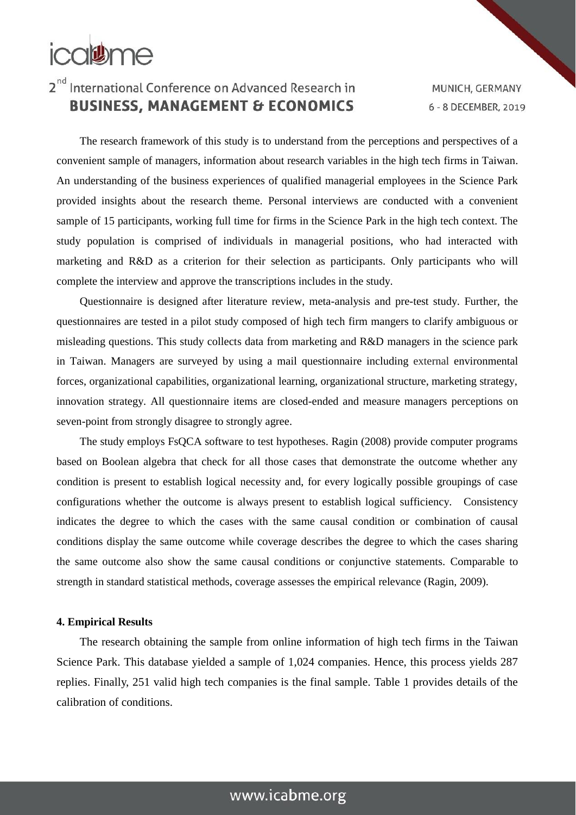

MUNICH, GERMANY 6 - 8 DECEMBER, 2019

The research framework of this study is to understand from the perceptions and perspectives of a convenient sample of managers, information about research variables in the high tech firms in Taiwan. An understanding of the business experiences of qualified managerial employees in the Science Park provided insights about the research theme. Personal interviews are conducted with a convenient sample of 15 participants, working full time for firms in the Science Park in the high tech context. The study population is comprised of individuals in managerial positions, who had interacted with marketing and R&D as a criterion for their selection as participants. Only participants who will complete the interview and approve the transcriptions includes in the study.

Questionnaire is designed after literature review, meta-analysis and pre-test study. Further, the questionnaires are tested in a pilot study composed of high tech firm mangers to clarify ambiguous or misleading questions. This study collects data from marketing and R&D managers in the science park in Taiwan. Managers are surveyed by using a mail questionnaire including external environmental forces, organizational capabilities, organizational learning, organizational structure, marketing strategy, innovation strategy. All questionnaire items are closed-ended and measure managers perceptions on seven-point from strongly disagree to strongly agree.

The study employs FsQCA software to test hypotheses. Ragin (2008) provide computer programs based on Boolean algebra that check for all those cases that demonstrate the outcome whether any condition is present to establish logical necessity and, for every logically possible groupings of case configurations whether the outcome is always present to establish logical sufficiency. Consistency indicates the degree to which the cases with the same causal condition or combination of causal conditions display the same outcome while coverage describes the degree to which the cases sharing the same outcome also show the same causal conditions or conjunctive statements. Comparable to strength in standard statistical methods, coverage assesses the empirical relevance (Ragin, 2009).

#### **4. Empirical Results**

The research obtaining the sample from online information of high tech firms in the Taiwan Science Park. This database yielded a sample of 1,024 companies. Hence, this process yields 287 replies. Finally, 251 valid high tech companies is the final sample. Table 1 provides details of the calibration of conditions.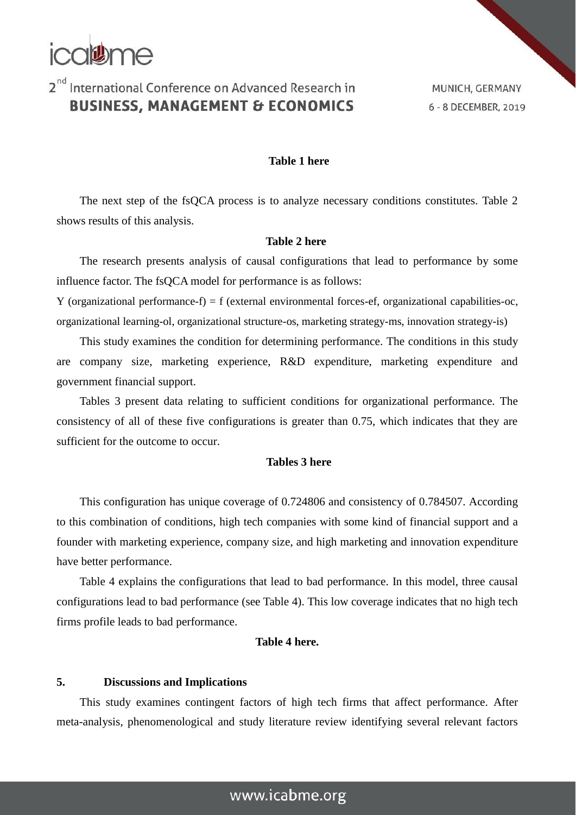

MUNICH, GERMANY 6 - 8 DECEMBER, 2019

#### **Table 1 here**

The next step of the fsQCA process is to analyze necessary conditions constitutes. Table 2 shows results of this analysis.

#### **Table 2 here**

The research presents analysis of causal configurations that lead to performance by some influence factor. The fsQCA model for performance is as follows:

Y (organizational performance-f) = f (external environmental forces-ef, organizational capabilities-oc, organizational learning-ol, organizational structure-os, marketing strategy-ms, innovation strategy-is)

This study examines the condition for determining performance. The conditions in this study are company size, marketing experience, R&D expenditure, marketing expenditure and government financial support.

Tables 3 present data relating to sufficient conditions for organizational performance. The consistency of all of these five configurations is greater than 0.75, which indicates that they are sufficient for the outcome to occur.

#### **Tables 3 here**

This configuration has unique coverage of 0.724806 and consistency of 0.784507. According to this combination of conditions, high tech companies with some kind of financial support and a founder with marketing experience, company size, and high marketing and innovation expenditure have better performance.

Table 4 explains the configurations that lead to bad performance. In this model, three causal configurations lead to bad performance (see Table 4). This low coverage indicates that no high tech firms profile leads to bad performance.

#### **Table 4 here.**

#### **5. Discussions and Implications**

This study examines contingent factors of high tech firms that affect performance. After meta-analysis, phenomenological and study literature review identifying several relevant factors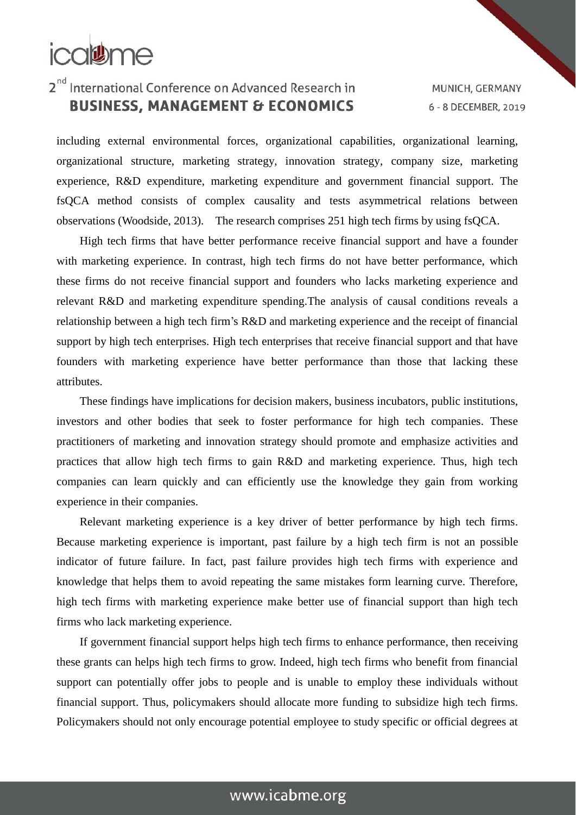

MUNICH, GERMANY 6 - 8 DECEMBER, 2019

including external environmental forces, organizational capabilities, organizational learning, organizational structure, marketing strategy, innovation strategy, company size, marketing experience, R&D expenditure, marketing expenditure and government financial support. The fsQCA method consists of complex causality and tests asymmetrical relations between observations (Woodside, 2013). The research comprises 251 high tech firms by using fsQCA.

High tech firms that have better performance receive financial support and have a founder with marketing experience. In contrast, high tech firms do not have better performance, which these firms do not receive financial support and founders who lacks marketing experience and relevant R&D and marketing expenditure spending.The analysis of causal conditions reveals a relationship between a high tech firm's R&D and marketing experience and the receipt of financial support by high tech enterprises. High tech enterprises that receive financial support and that have founders with marketing experience have better performance than those that lacking these attributes.

These findings have implications for decision makers, business incubators, public institutions, investors and other bodies that seek to foster performance for high tech companies. These practitioners of marketing and innovation strategy should promote and emphasize activities and practices that allow high tech firms to gain R&D and marketing experience. Thus, high tech companies can learn quickly and can efficiently use the knowledge they gain from working experience in their companies.

Relevant marketing experience is a key driver of better performance by high tech firms. Because marketing experience is important, past failure by a high tech firm is not an possible indicator of future failure. In fact, past failure provides high tech firms with experience and knowledge that helps them to avoid repeating the same mistakes form learning curve. Therefore, high tech firms with marketing experience make better use of financial support than high tech firms who lack marketing experience.

If government financial support helps high tech firms to enhance performance, then receiving these grants can helps high tech firms to grow. Indeed, high tech firms who benefit from financial support can potentially offer jobs to people and is unable to employ these individuals without financial support. Thus, policymakers should allocate more funding to subsidize high tech firms. Policymakers should not only encourage potential employee to study specific or official degrees at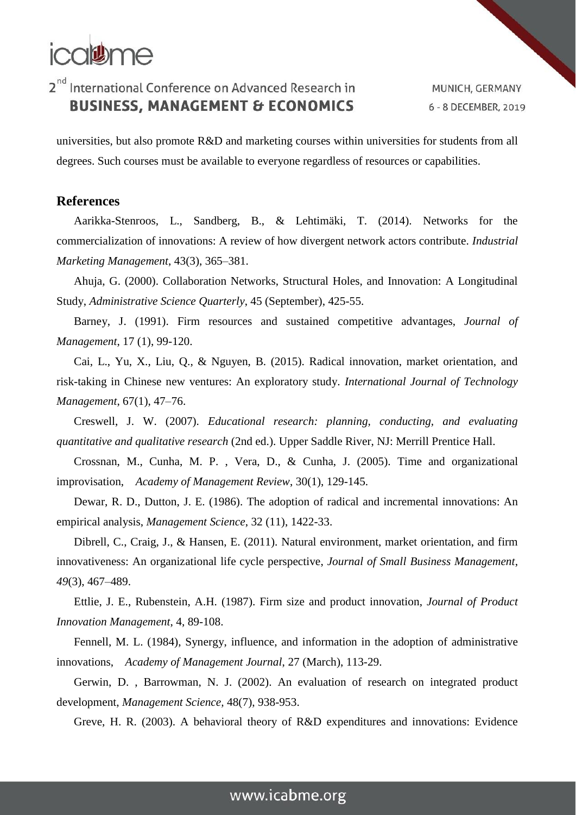

MUNICH, GERMANY 6 - 8 DECEMBER, 2019

universities, but also promote R&D and marketing courses within universities for students from all degrees. Such courses must be available to everyone regardless of resources or capabilities.

#### **References**

Aarikka-Stenroos, L., Sandberg, B., & Lehtimäki, T. (2014). Networks for the commercialization of innovations: A review of how divergent network actors contribute. *Industrial Marketing Management*, 43(3), 365–381.

Ahuja, G. (2000). Collaboration Networks, Structural Holes, and Innovation: A Longitudinal Study, *Administrative Science Quarterly*, 45 (September), 425-55.

Barney, J. (1991). Firm resources and sustained competitive advantages, *Journal of Management*, 17 (1), 99-120.

Cai, L., Yu, X., Liu, Q., & Nguyen, B. (2015). Radical innovation, market orientation, and risk-taking in Chinese new ventures: An exploratory study. *International Journal of Technology Management*, 67(1), 47–76.

Creswell, J. W. (2007). *Educational research: planning, conducting, and evaluating quantitative and qualitative research* (2nd ed.). Upper Saddle River, NJ: Merrill Prentice Hall.

Crossnan, M., Cunha, M. P. , Vera, D., & Cunha, J. (2005). Time and organizational improvisation, *Academy of Management Review*, 30(1), 129-145.

Dewar, R. D., Dutton, J. E. (1986). The adoption of radical and incremental innovations: An empirical analysis, *Management Science*, 32 (11), 1422-33.

Dibrell, C., Craig, J., & Hansen, E. (2011). Natural environment, market orientation, and firm innovativeness: An organizational life cycle perspective, *Journal of Small Business Management*, *49*(3), 467–489.

Ettlie, J. E., Rubenstein, A.H. (1987). Firm size and product innovation, *Journal of Product Innovation Management*, 4, 89-108.

Fennell, M. L. (1984), Synergy, influence, and information in the adoption of administrative innovations, *Academy of Management Journal*, 27 (March), 113-29.

Gerwin, D. , Barrowman, N. J. (2002). An evaluation of research on integrated product development, *Management Science,* 48(7), 938-953.

Greve, H. R. (2003). A behavioral theory of R&D expenditures and innovations: Evidence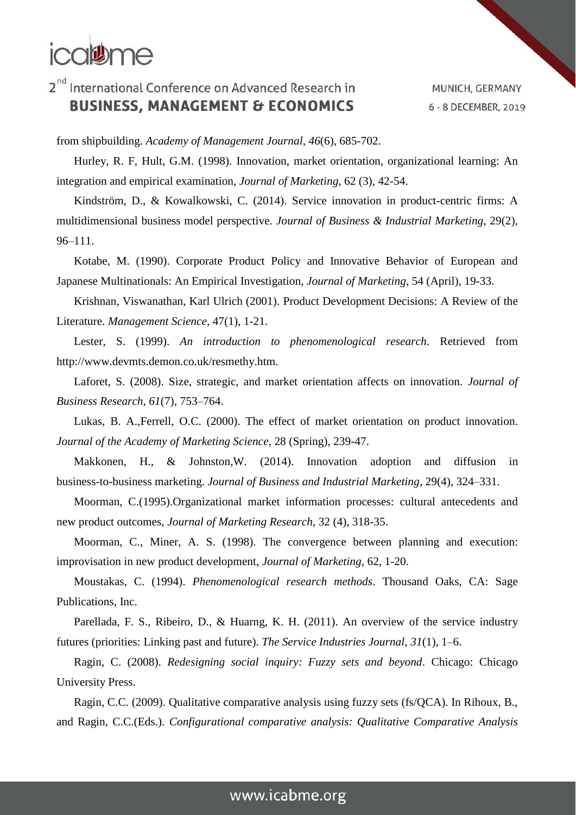## **ical#me**

## 2<sup>nd</sup> International Conference on Advanced Research in **BUSINESS, MANAGEMENT & ECONOMICS**

MUNICH, GERMANY 6 - 8 DECEMBER, 2019

from shipbuilding. *Academy of Management Journal*, *46*(6), 685-702.

Hurley, R. F, Hult, G.M. (1998). Innovation, market orientation, organizational learning: An integration and empirical examination, *Journal of Marketing*, 62 (3), 42-54.

Kindström, D., & Kowalkowski, C. (2014). Service innovation in product-centric firms: A multidimensional business model perspective. *Journal of Business & Industrial Marketing*, 29(2), 96–111.

Kotabe, M. (1990). Corporate Product Policy and Innovative Behavior of European and Japanese Multinationals: An Empirical Investigation, *Journal of Marketing*, 54 (April), 19-33.

Krishnan, Viswanathan, Karl Ulrich (2001). Product Development Decisions: A Review of the Literature. *Management Science,* 47(1), 1-21.

Lester, S. (1999). *An introduction to phenomenological research*. Retrieved from http://www.devmts.demon.co.uk/resmethy.htm.

Laforet, S. (2008). Size, strategic, and market orientation affects on innovation. *Journal of Business Research*, *61*(7), 753–764.

Lukas, B. A.,Ferrell, O.C. (2000). The effect of market orientation on product innovation. *Journal of the Academy of Marketing Science*, 28 (Spring), 239-47.

Makkonen, H., & Johnston,W. (2014). Innovation adoption and diffusion in business-to-business marketing. *Journal of Business and Industrial Marketing*, 29(4), 324–331.

Moorman, C.(1995).Organizational market information processes: cultural antecedents and new product outcomes, *Journal of Marketing Research*, 32 (4), 318-35.

Moorman, C., Miner, A. S. (1998). The convergence between planning and execution: improvisation in new product development, *Journal of Marketing*, 62, 1-20.

Moustakas, C. (1994). *Phenomenological research methods*. Thousand Oaks, CA: Sage Publications, Inc.

Parellada, F. S., Ribeiro, D., & Huarng, K. H. (2011). An overview of the service industry futures (priorities: Linking past and future). *The Service Industries Journal*, *31*(1), 1–6.

Ragin, C. (2008). *Redesigning social inquiry: Fuzzy sets and beyond*. Chicago: Chicago University Press.

Ragin, C.C. (2009). Qualitative comparative analysis using fuzzy sets (fs/QCA). In Rihoux, B., and Ragin, C.C.(Eds.). *Configurational comparative analysis: Qualitative Comparative Analysis*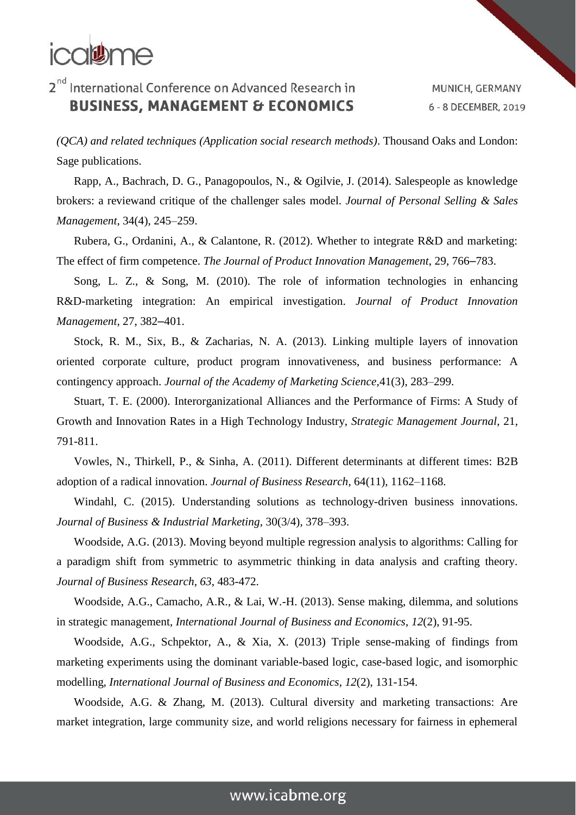## icalthe

## 2<sup>nd</sup> International Conference on Advanced Research in **BUSINESS, MANAGEMENT & ECONOMICS**

MUNICH, GERMANY 6 - 8 DECEMBER, 2019

*(QCA) and related techniques (Application social research methods)*. Thousand Oaks and London: Sage publications.

Rapp, A., Bachrach, D. G., Panagopoulos, N., & Ogilvie, J. (2014). Salespeople as knowledge brokers: a reviewand critique of the challenger sales model. *Journal of Personal Selling & Sales Management*, 34(4), 245–259.

Rubera, G., Ordanini, A., & Calantone, R. (2012). Whether to integrate R&D and marketing: The effect of firm competence. *The Journal of Product Innovation Management*, 29, 766–783.

Song, L. Z., & Song, M. (2010). The role of information technologies in enhancing R&D-marketing integration: An empirical investigation. *Journal of Product Innovation Management*, 27, 382–401.

Stock, R. M., Six, B., & Zacharias, N. A. (2013). Linking multiple layers of innovation oriented corporate culture, product program innovativeness, and business performance: A contingency approach. *Journal of the Academy of Marketing Science*,41(3), 283–299.

Stuart, T. E. (2000). Interorganizational Alliances and the Performance of Firms: A Study of Growth and Innovation Rates in a High Technology Industry, *Strategic Management Journal*, 21, 791-811.

Vowles, N., Thirkell, P., & Sinha, A. (2011). Different determinants at different times: B2B adoption of a radical innovation. *Journal of Business Research*, 64(11), 1162–1168.

Windahl, C. (2015). Understanding solutions as technology-driven business innovations. *Journal of Business & Industrial Marketing*, 30(3/4), 378–393.

Woodside, A.G. (2013). Moving beyond multiple regression analysis to algorithms: Calling for a paradigm shift from symmetric to asymmetric thinking in data analysis and crafting theory. *Journal of Business Research*, *63*, 483-472.

Woodside, A.G., Camacho, A.R., & Lai, W.-H. (2013). Sense making, dilemma, and solutions in strategic management, *International Journal of Business and Economics*, *12*(2), 91-95.

Woodside, A.G., Schpektor, A., & Xia, X. (2013) Triple sense-making of findings from marketing experiments using the dominant variable-based logic, case-based logic, and isomorphic modelling, *International Journal of Business and Economics*, *12*(2), 131-154.

Woodside, A.G. & Zhang, M. (2013). Cultural diversity and marketing transactions: Are market integration, large community size, and world religions necessary for fairness in ephemeral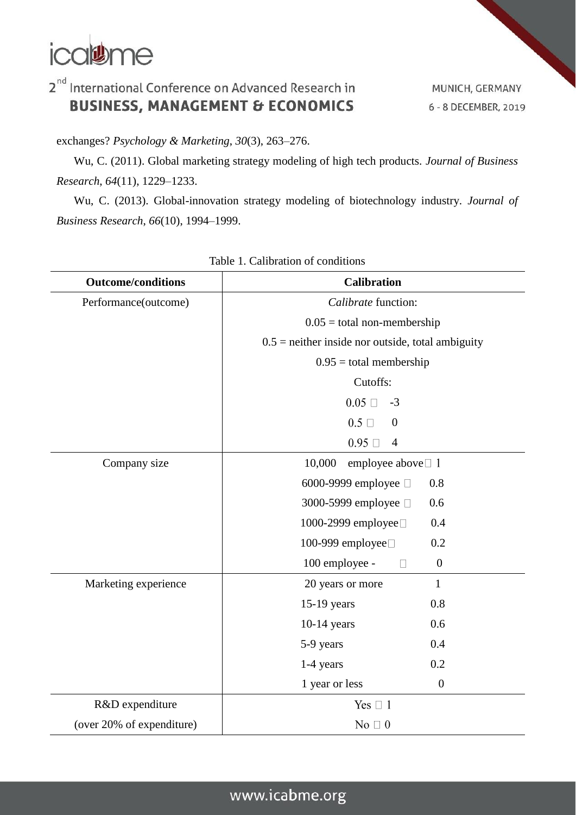

MUNICH, GERMANY 6 - 8 DECEMBER, 2019

exchanges? *Psychology & Marketing*, *30*(3), 263–276.

Wu, C. (2011). Global marketing strategy modeling of high tech products. *Journal of Business Research*, *64*(11), 1229–1233.

Wu, C. (2013). Global-innovation strategy modeling of biotechnology industry. *Journal of Business Research*, *66*(10), 1994–1999.

| <b>Outcome/conditions</b> | <b>Calibration</b>                                  |  |  |
|---------------------------|-----------------------------------------------------|--|--|
| Performance(outcome)      | Calibrate function:                                 |  |  |
|                           | $0.05$ = total non-membership                       |  |  |
|                           | $0.5$ = neither inside nor outside, total ambiguity |  |  |
|                           | $0.95$ = total membership                           |  |  |
|                           | Cutoffs:                                            |  |  |
|                           | $0.05 \square$<br>$-3$                              |  |  |
|                           | $0.5 \Box$<br>$\mathbf{0}$                          |  |  |
|                           | $0.95 \square$<br>$\overline{4}$                    |  |  |
| Company size              | 10,000<br>employee above $\Box$ 1                   |  |  |
|                           | 6000-9999 employee □<br>0.8                         |  |  |
|                           | 3000-5999 employee □<br>0.6                         |  |  |
|                           | 1000-2999 employee□<br>0.4                          |  |  |
|                           | 100-999 employee□<br>0.2                            |  |  |
|                           | 100 employee -<br>$\boldsymbol{0}$<br>$\Box$        |  |  |
| Marketing experience      | 20 years or more<br>$\mathbf{1}$                    |  |  |
|                           | 0.8<br>15-19 years                                  |  |  |
|                           | $10-14$ years<br>0.6                                |  |  |
|                           | 5-9 years<br>0.4                                    |  |  |
|                           | 0.2<br>$1-4$ years                                  |  |  |
|                           | 1 year or less<br>$\boldsymbol{0}$                  |  |  |
| R&D expenditure           | Yes $\Box$ 1                                        |  |  |
| (over 20% of expenditure) | No $\Box$ 0                                         |  |  |

#### Table 1. Calibration of conditions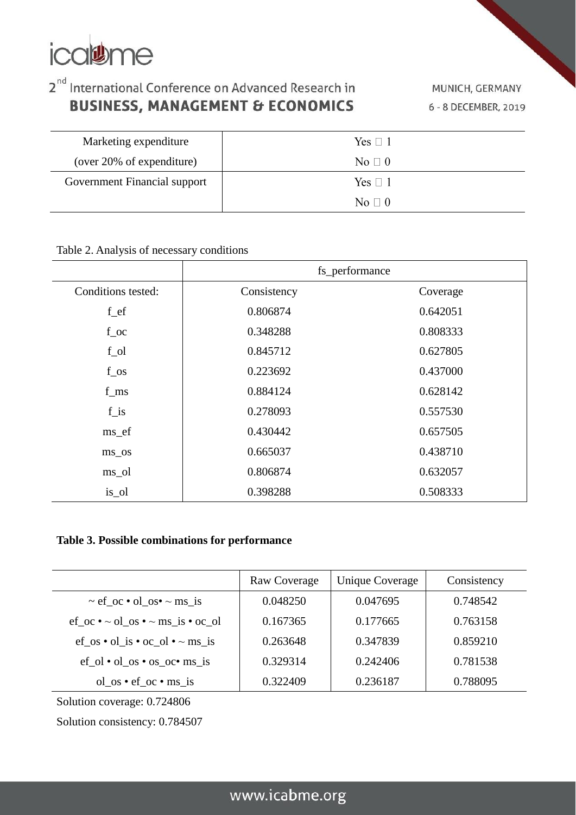

MUNICH, GERMANY 6 - 8 DECEMBER, 2019

| Marketing expenditure        | Yes $\Box$ 1 |
|------------------------------|--------------|
| (over 20% of expenditure)    | No $\Box$ 0  |
| Government Financial support | Yes $\Box$ 1 |
|                              | No $\Box$ 0  |

Table 2. Analysis of necessary conditions

|                    | fs_performance |          |  |
|--------------------|----------------|----------|--|
| Conditions tested: | Consistency    | Coverage |  |
| $f_{\rm ef}$       | 0.806874       | 0.642051 |  |
| $f_{\rm c}$        | 0.348288       | 0.808333 |  |
| $f_$ [ol]          | 0.845712       | 0.627805 |  |
| $f$ os             | 0.223692       | 0.437000 |  |
| $f_{ms}$           | 0.884124       | 0.628142 |  |
| $f_is$             | 0.278093       | 0.557530 |  |
| ms_ef              | 0.430442       | 0.657505 |  |
| $ms$ _os           | 0.665037       | 0.438710 |  |
| ms_ol              | 0.806874       | 0.632057 |  |
| is_ol              | 0.398288       | 0.508333 |  |

#### **Table 3. Possible combinations for performance**

|                                                                                  | Raw Coverage | Unique Coverage | Consistency |
|----------------------------------------------------------------------------------|--------------|-----------------|-------------|
| $\sim$ ef_oc • ol_os• $\sim$ ms_is                                               | 0.048250     | 0.047695        | 0.748542    |
| $ef_{\alpha} \cdot \sim$ ol_os $\cdot \sim$ ms_is $\cdot$ oc_ol                  | 0.167365     | 0.177665        | 0.763158    |
| $ef_{\infty} \cdot ol_{\infty} \cdot oc_{\infty}$ ol $\cdot \sim ms_{\infty}$ is | 0.263648     | 0.347839        | 0.859210    |
| $ef_ol \cdot ol$ os $\cdot$ os $oc \cdot ms$ is                                  | 0.329314     | 0.242406        | 0.781538    |
| $ol$ <sub>os</sub> • $ef$ <sub>oc</sub> • ms <sub>is</sub>                       | 0.322409     | 0.236187        | 0.788095    |

Solution coverage: 0.724806

Solution consistency: 0.784507